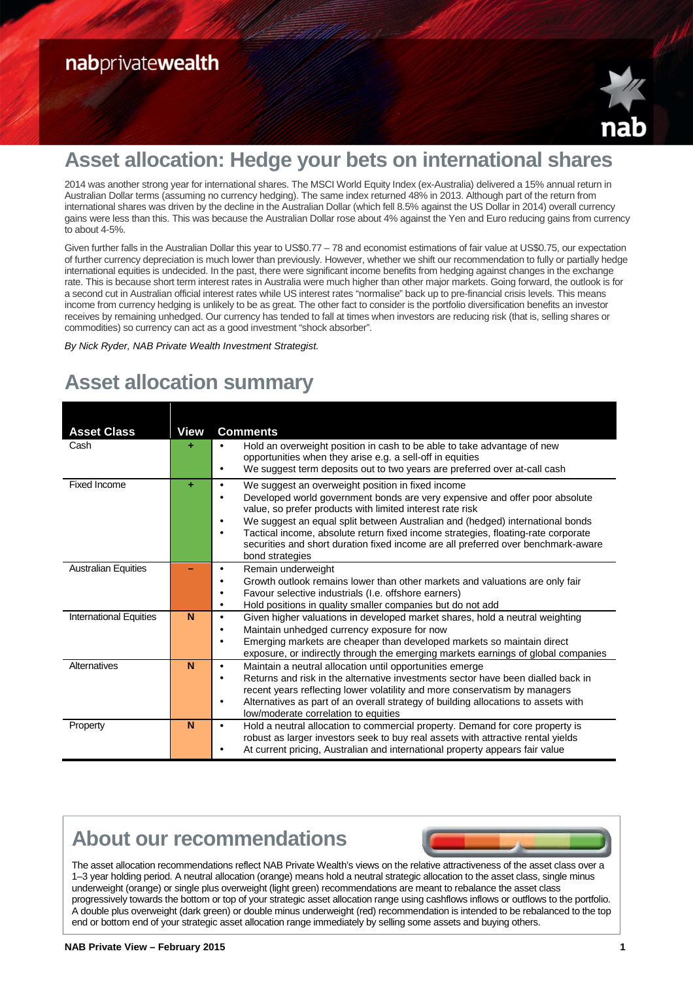

## **Asset allocation: Hedge your bets on international shares**

2014 was another strong year for international shares. The MSCI World Equity Index (ex-Australia) delivered a 15% annual return in Australian Dollar terms (assuming no currency hedging). The same index returned 48% in 2013. Although part of the return from international shares was driven by the decline in the Australian Dollar (which fell 8.5% against the US Dollar in 2014) overall currency gains were less than this. This was because the Australian Dollar rose about 4% against the Yen and Euro reducing gains from currency to about 4-5%.

Given further falls in the Australian Dollar this year to US\$0.77 – 78 and economist estimations of fair value at US\$0.75, our expectation of further currency depreciation is much lower than previously. However, whether we shift our recommendation to fully or partially hedge international equities is undecided. In the past, there were significant income benefits from hedging against changes in the exchange rate. This is because short term interest rates in Australia were much higher than other major markets. Going forward, the outlook is for a second cut in Australian official interest rates while US interest rates "normalise" back up to pre-financial crisis levels. This means income from currency hedging is unlikely to be as great. The other fact to consider is the portfolio diversification benefits an investor receives by remaining unhedged. Our currency has tended to fall at times when investors are reducing risk (that is, selling shares or commodities) so currency can act as a good investment "shock absorber".

By Nick Ryder, NAB Private Wealth Investment Strategist.

# **Asset allocation summary**

| <b>Asset Class</b>            | <b>View</b> | <b>Comments</b>                                                                                                                                                               |
|-------------------------------|-------------|-------------------------------------------------------------------------------------------------------------------------------------------------------------------------------|
| Cash                          |             | Hold an overweight position in cash to be able to take advantage of new<br>$\bullet$                                                                                          |
|                               |             | opportunities when they arise e.g. a sell-off in equities                                                                                                                     |
|                               |             | We suggest term deposits out to two years are preferred over at-call cash<br>٠                                                                                                |
| <b>Fixed Income</b>           |             | We suggest an overweight position in fixed income<br>$\bullet$                                                                                                                |
|                               |             | Developed world government bonds are very expensive and offer poor absolute                                                                                                   |
|                               |             | value, so prefer products with limited interest rate risk<br>We suggest an equal split between Australian and (hedged) international bonds<br>$\bullet$                       |
|                               |             | Tactical income, absolute return fixed income strategies, floating-rate corporate<br>$\bullet$                                                                                |
|                               |             | securities and short duration fixed income are all preferred over benchmark-aware                                                                                             |
|                               |             | bond strategies                                                                                                                                                               |
| <b>Australian Equities</b>    |             | Remain underweight                                                                                                                                                            |
|                               |             | Growth outlook remains lower than other markets and valuations are only fair                                                                                                  |
|                               |             | Favour selective industrials (I.e. offshore earners)                                                                                                                          |
|                               |             | Hold positions in quality smaller companies but do not add<br>$\bullet$                                                                                                       |
| <b>International Equities</b> | N           | Given higher valuations in developed market shares, hold a neutral weighting<br>$\bullet$                                                                                     |
|                               |             | Maintain unhedged currency exposure for now                                                                                                                                   |
|                               |             | Emerging markets are cheaper than developed markets so maintain direct                                                                                                        |
| Alternatives                  | N           | exposure, or indirectly through the emerging markets earnings of global companies                                                                                             |
|                               |             | Maintain a neutral allocation until opportunities emerge<br>$\bullet$                                                                                                         |
|                               |             | Returns and risk in the alternative investments sector have been dialled back in                                                                                              |
|                               |             | recent years reflecting lower volatility and more conservatism by managers<br>Alternatives as part of an overall strategy of building allocations to assets with<br>$\bullet$ |
|                               |             | low/moderate correlation to equities                                                                                                                                          |
| Property                      | N           | Hold a neutral allocation to commercial property. Demand for core property is<br>٠                                                                                            |
|                               |             | robust as larger investors seek to buy real assets with attractive rental yields                                                                                              |
|                               |             | At current pricing, Australian and international property appears fair value                                                                                                  |

## **About our recommendations**



The asset allocation recommendations reflect NAB Private Wealth's views on the relative attractiveness of the asset class over a 1–3 year holding period. A neutral allocation (orange) means hold a neutral strategic allocation to the asset class, single minus underweight (orange) or single plus overweight (light green) recommendations are meant to rebalance the asset class progressively towards the bottom or top of your strategic asset allocation range using cashflows inflows or outflows to the portfolio. A double plus overweight (dark green) or double minus underweight (red) recommendation is intended to be rebalanced to the top end or bottom end of your strategic asset allocation range immediately by selling some assets and buying others.